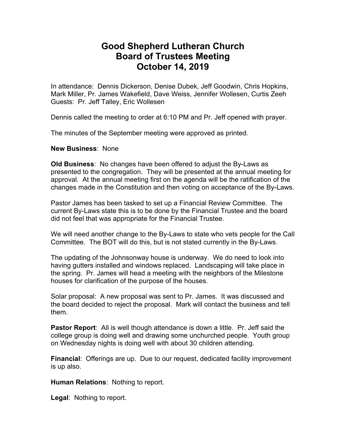## **Good Shepherd Lutheran Church Board of Trustees Meeting October 14, 2019**

In attendance: Dennis Dickerson, Denise Dubek, Jeff Goodwin, Chris Hopkins, Mark Miller, Pr. James Wakefield, Dave Weiss, Jennifer Wollesen, Curtis Zeeh Guests: Pr. Jeff Talley, Eric Wollesen

Dennis called the meeting to order at 6:10 PM and Pr. Jeff opened with prayer.

The minutes of the September meeting were approved as printed.

## **New Business**: None

**Old Business**: No changes have been offered to adjust the By-Laws as presented to the congregation. They will be presented at the annual meeting for approval. At the annual meeting first on the agenda will be the ratification of the changes made in the Constitution and then voting on acceptance of the By-Laws.

Pastor James has been tasked to set up a Financial Review Committee. The current By-Laws state this is to be done by the Financial Trustee and the board did not feel that was appropriate for the Financial Trustee.

We will need another change to the By-Laws to state who vets people for the Call Committee. The BOT will do this, but is not stated currently in the By-Laws.

The updating of the Johnsonway house is underway. We do need to look into having gutters installed and windows replaced. Landscaping will take place in the spring. Pr. James will head a meeting with the neighbors of the Milestone houses for clarification of the purpose of the houses.

Solar proposal: A new proposal was sent to Pr. James. It was discussed and the board decided to reject the proposal. Mark will contact the business and tell them.

**Pastor Report**: All is well though attendance is down a little. Pr. Jeff said the college group is doing well and drawing some unchurched people. Youth group on Wednesday nights is doing well with about 30 children attending.

**Financial**: Offerings are up. Due to our request, dedicated facility improvement is up also.

**Human Relations**: Nothing to report.

**Legal**: Nothing to report.